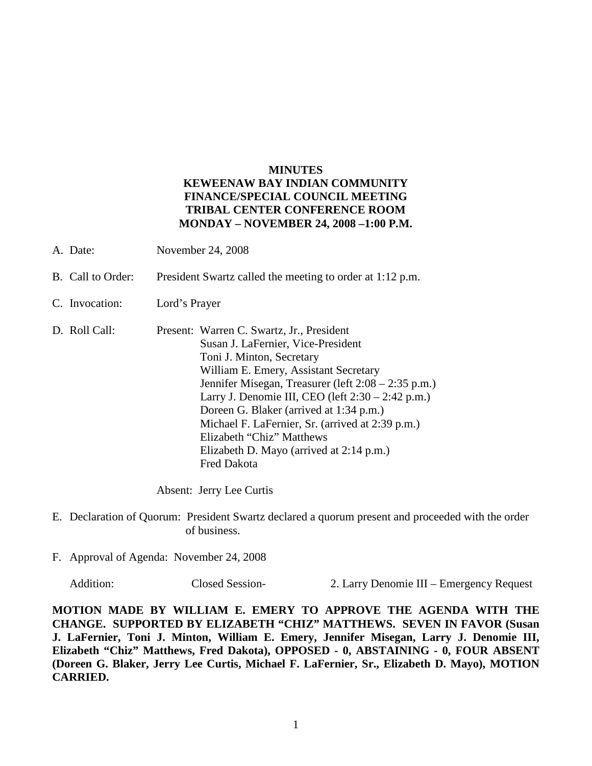## **MINUTES KEWEENAW BAY INDIAN COMMUNITY FINANCE/SPECIAL COUNCIL MEETING TRIBAL CENTER CONFERENCE ROOM MONDAY – NOVEMBER 24, 2008 –1:00 P.M.**

- A. Date: November 24, 2008
- B. Call to Order: President Swartz called the meeting to order at 1:12 p.m.
- C. Invocation: Lord's Prayer
- D. Roll Call: Present: Warren C. Swartz, Jr., President Susan J. LaFernier, Vice-President Toni J. Minton, Secretary William E. Emery, Assistant Secretary Jennifer Misegan, Treasurer (left 2:08 – 2:35 p.m.) Larry J. Denomie III, CEO (left 2:30 – 2:42 p.m.) Doreen G. Blaker (arrived at 1:34 p.m.) Michael F. LaFernier, Sr. (arrived at 2:39 p.m.) Elizabeth "Chiz" Matthews Elizabeth D. Mayo (arrived at 2:14 p.m.) Fred Dakota

Absent: Jerry Lee Curtis

- E. Declaration of Quorum: President Swartz declared a quorum present and proceeded with the order of business.
- F. Approval of Agenda: November 24, 2008

Addition: Closed Session- 2. Larry Denomie III – Emergency Request

**MOTION MADE BY WILLIAM E. EMERY TO APPROVE THE AGENDA WITH THE CHANGE. SUPPORTED BY ELIZABETH "CHIZ" MATTHEWS. SEVEN IN FAVOR (Susan J. LaFernier, Toni J. Minton, William E. Emery, Jennifer Misegan, Larry J. Denomie III, Elizabeth "Chiz" Matthews, Fred Dakota), OPPOSED - 0, ABSTAINING - 0, FOUR ABSENT (Doreen G. Blaker, Jerry Lee Curtis, Michael F. LaFernier, Sr., Elizabeth D. Mayo), MOTION CARRIED.**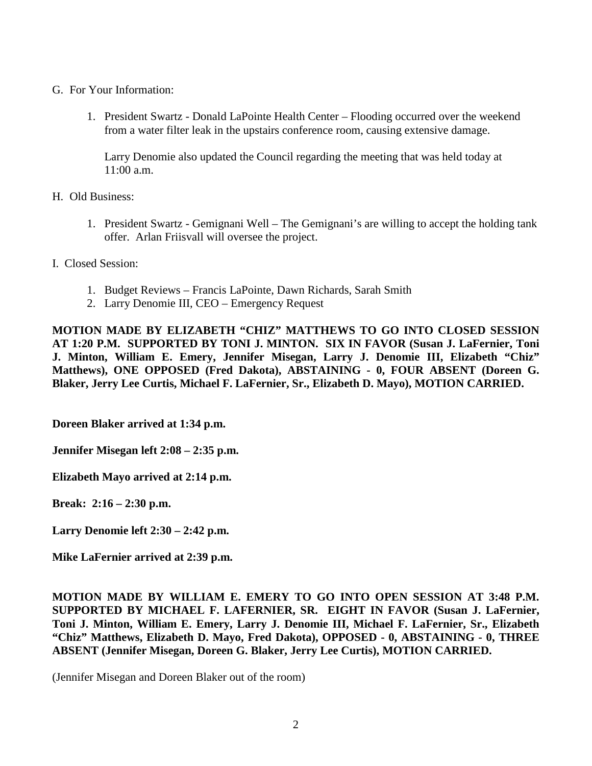- G. For Your Information:
	- 1. President Swartz Donald LaPointe Health Center Flooding occurred over the weekend from a water filter leak in the upstairs conference room, causing extensive damage.

Larry Denomie also updated the Council regarding the meeting that was held today at 11:00 a.m.

H. Old Business:

- 1. President Swartz Gemignani Well The Gemignani's are willing to accept the holding tank offer. Arlan Friisvall will oversee the project.
- I. Closed Session:
	- 1. Budget Reviews Francis LaPointe, Dawn Richards, Sarah Smith
	- 2. Larry Denomie III, CEO Emergency Request

**MOTION MADE BY ELIZABETH "CHIZ" MATTHEWS TO GO INTO CLOSED SESSION AT 1:20 P.M. SUPPORTED BY TONI J. MINTON. SIX IN FAVOR (Susan J. LaFernier, Toni J. Minton, William E. Emery, Jennifer Misegan, Larry J. Denomie III, Elizabeth "Chiz" Matthews), ONE OPPOSED (Fred Dakota), ABSTAINING - 0, FOUR ABSENT (Doreen G. Blaker, Jerry Lee Curtis, Michael F. LaFernier, Sr., Elizabeth D. Mayo), MOTION CARRIED.**

**Doreen Blaker arrived at 1:34 p.m.**

**Jennifer Misegan left 2:08 – 2:35 p.m.**

**Elizabeth Mayo arrived at 2:14 p.m.**

**Break: 2:16 – 2:30 p.m.**

**Larry Denomie left 2:30 – 2:42 p.m.**

**Mike LaFernier arrived at 2:39 p.m.**

**MOTION MADE BY WILLIAM E. EMERY TO GO INTO OPEN SESSION AT 3:48 P.M. SUPPORTED BY MICHAEL F. LAFERNIER, SR. EIGHT IN FAVOR (Susan J. LaFernier, Toni J. Minton, William E. Emery, Larry J. Denomie III, Michael F. LaFernier, Sr., Elizabeth "Chiz" Matthews, Elizabeth D. Mayo, Fred Dakota), OPPOSED - 0, ABSTAINING - 0, THREE ABSENT (Jennifer Misegan, Doreen G. Blaker, Jerry Lee Curtis), MOTION CARRIED.**

(Jennifer Misegan and Doreen Blaker out of the room)